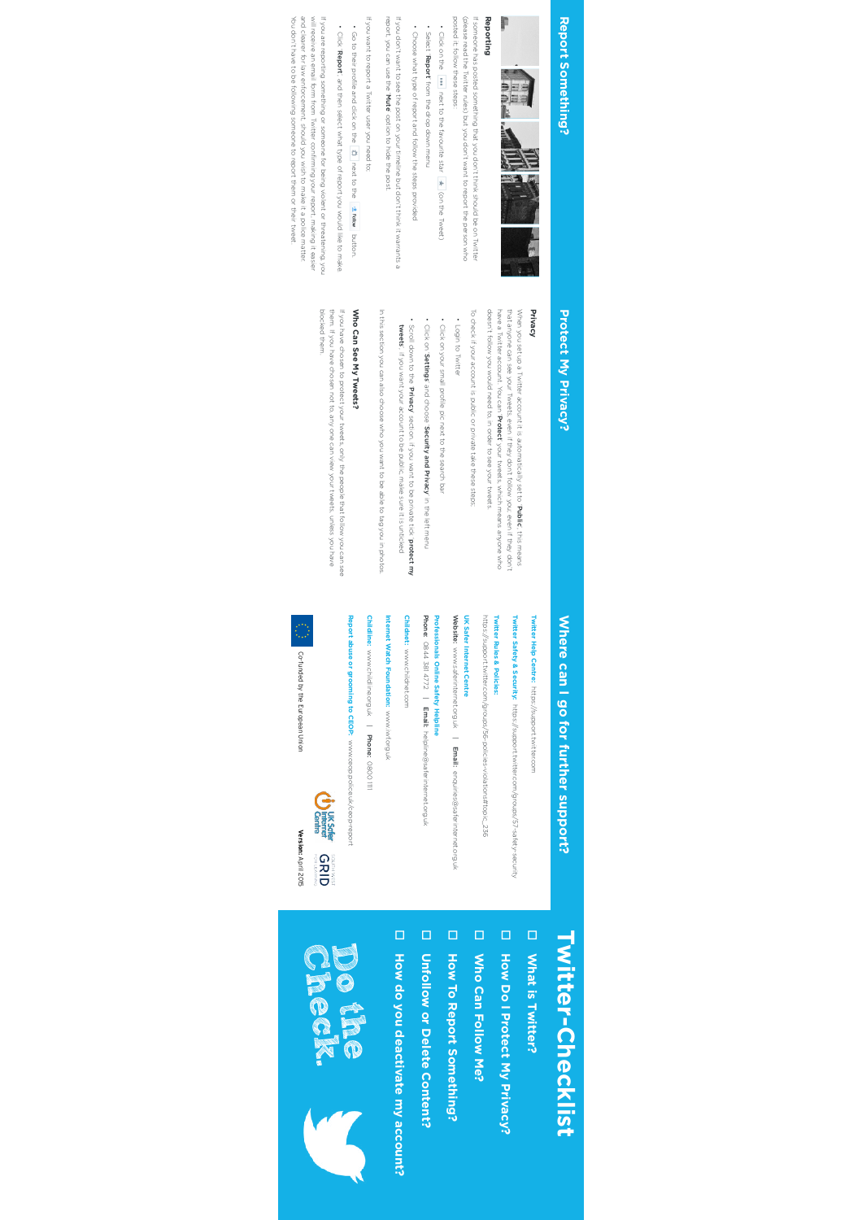## Report Something? **Report Something?**



### Reporting **Reporting**

posted it; follow these steps: If someone has posted something that you don't think should be on Twitter<br>(please read the Twitter rules) but you don't want to report the person who posted it; follow these steps: (please read the Twitter rules) but you don't want to report the person who If someone has posted something that you don't think should be on Twitter

• Click on the way next to the favourite star  $\star$  (on the Tweet) Click on the next to the favourite star (on the Tweet)

• Select 'Report' from the drop down menu • Choose what type of report and follow the steps provided Choose what type of report and follow the steps provided

If you don't want to see the post on your timeline but don't think it warrants a If you don't want to see the post on your timeline but don't think it warrants a

report, you can use the ' report, you can use the 'Mute' option to hide the post. ' option to hide the post.

If you want to report a Twitter user you need to; If you want to report a Twitter user you need to;

• Go to their profile and click on the  $\frac{4\pi}{4}$  next to the  $\frac{4\pi}{4}$  Fellow button. Go to their profile and click on the next to the button. • Click 'Report', and then select what type of report you would like to make.

You don't have to be following someone to report them or their tweet. and clearer for law enforcement, should you wish to make it a police matter. will receive an email form from Twitter confirming your report, making it easier If you are reporting something or someone for being violent or threatening, you You don't have to be following someone to report them or their tweet. and clearer for law enforcement, should you wish to make it a police matter. will receive an email form from Twitter confirming your report, making it easier If you are reporting something or someone for being violent or threatening, you

## **Protect My Privacy? Protect My Privacy?**

# **Privacy**

that anyone can see your Tweets, even if they don't follow you; even if they don't<br>have a Twitter account, You can '**Protect'** your tweets, which means anyone who<br>doesn't follow you would need to, in order to see your twee When you set up a Twitter account it is automatically set to 'Public', this means doesn't follow you would need to, in order to see your tweets. have a Twitter account. You can ' that anyone can see your Tweets, even if they don't follow you; even if they don't When you set up a Twitter account it is automatically set to ' Protect' your tweets, which means anyone who ', this means

To check if your account is public or private take these steps; To check if your account is public or private take these steps;

• Login to Iwitter Login to Twitter

• Click on your small profile pic next to the search ba Click on your small profile pic next to the search bar ' and choose '

Click on '

SettingsSecurity and PrivacyScroll down to the 'Privacy' section. if you want to be private tick 'protect my

' in the left menu

In this section you can also choose who you want to be able to tag you in photos In this section you can also choose who you want to be able to tag you in photos.

tweets', if you want your account to be public, make sure it is unticked ', if you want your account to be public, make sure it is unticked

## Who Can See My Tweets? **Who Can See My Tweets?**

blocked them them. If you have chosen not to, any one can view your tweets, unless you have If you have chosen to protect your tweets, only the people that follow you can see blocked them. them. If you have chosen not to, any one can view your tweets, unless you have If you have chosen to protect your tweets, only the people that follow you can see

# Where can I go for further support?

Twitter Help Centre: https://support.twitter.com **Twitter Help Centre:** https://support.twitter.com

Twitter Safety & Security: https://support.twitter.com/groups/57-safety-security **Twitter Safety & Security:** https://support.twitter.com/groups/57-safety-security

**Twitter Rules & Policies:** https://support.twitter.com/groups/56-policies-violations#topic\_236 https://support.twitter.com/groups/56-policies-violations#topic\_236 **Twitter Rules & Policies:**

**UK Safer Internet Centre** Website: www.saferinternet.org.uk | Email: enquiries@saferinternet.org.uk

**UK Safer Internet Centre**

Phone: **Professionals Online Safety Helpline Professionals Online Safety Helpline** 0844 381 4772 $\overline{a}$ Email: helpline@saferinternet.org.uk

Childnet: www.childnet.com **Childnet:** www.childnet.com

**Internet Watch Foundation:** nternet Watch Foundation: www.iwf.org.uk www.iwf.org.uk

**Childline:** www.childline.org.uk | Phone: 0800 1111

Report abuse or grooming to CEOP: www.ceop.police.uk/ceop-report **Report abuse or grooming to CEOP:** www.ceop.police.uk/ceop-report



Version: April 2015 **Version:**April 2015

Co-funded by the European Union

Co-funded by the European Union

# **Twitter-Checklist Mitter-Checklist Twitter-Checklist**

- D What is Twitter? **What is Twitter?**
- D How Do I Protect My Privacy? **How Do I Protect My Privacy?**
- 
- D Who Can Follow Me? **Who Can Follow Me?**
- D How To Report Something? **How To Report Something?**
- D Unfollow or Delete Content? **Unfollow or Delete Content?**
- D How do you deactivate my account? **How do you deactivate my account?**